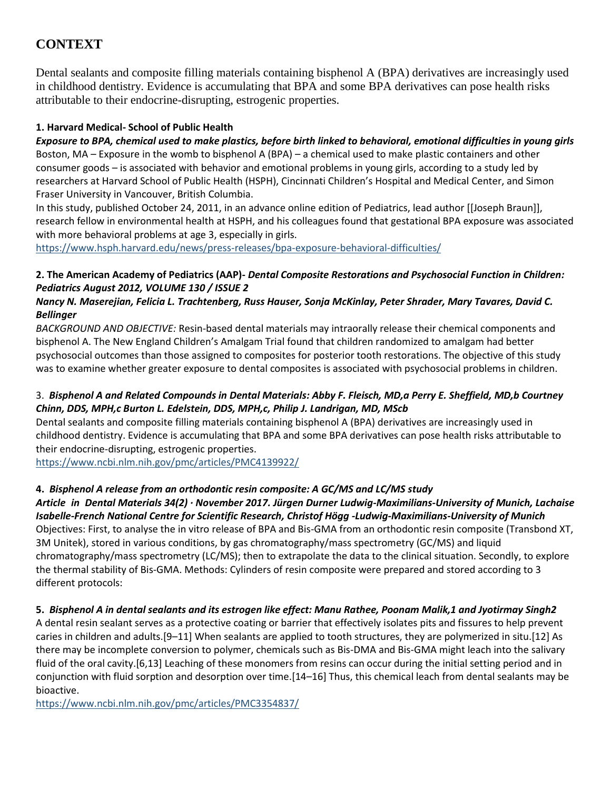# **CONTEXT**

Dental sealants and composite filling materials containing bisphenol A (BPA) derivatives are increasingly used in childhood dentistry. Evidence is accumulating that BPA and some BPA derivatives can pose health risks attributable to their endocrine-disrupting, estrogenic properties.

#### **1. Harvard Medical- School of Public Health**

*Exposure to BPA, chemical used to make plastics, before birth linked to behavioral, emotional difficulties in young girls* Boston, MA – Exposure in the womb to bisphenol A (BPA) – a chemical used to make plastic containers and other consumer goods – is associated with behavior and emotional problems in young girls, according to a study led by researchers at Harvard School of Public Health (HSPH), Cincinnati Children's Hospital and Medical Center, and Simon Fraser University in Vancouver, British Columbia.

In this study, published October 24, 2011, in an advance online edition of Pediatrics, lead author [[Joseph Braun]], research fellow in environmental health at HSPH, and his colleagues found that gestational BPA exposure was associated with more behavioral problems at age 3, especially in girls.

<https://www.hsph.harvard.edu/news/press-releases/bpa-exposure-behavioral-difficulties/>

#### **2. The American Academy of Pediatrics (AAP)-** *Dental Composite Restorations and Psychosocial Function in Children: Pediatrics August 2012, VOLUME 130 / ISSUE 2*

## *Nancy N. Maserejian, Felicia L. Trachtenberg, Russ Hauser, Sonja McKinlay, Peter Shrader, Mary Tavares, David C. Bellinger*

*BACKGROUND AND OBJECTIVE:* Resin-based dental materials may intraorally release their chemical components and bisphenol A. The New England Children's Amalgam Trial found that children randomized to amalgam had better psychosocial outcomes than those assigned to composites for posterior tooth restorations. The objective of this study was to examine whether greater exposure to dental composites is associated with psychosocial problems in children.

## 3. *Bisphenol A and Related Compounds in Dental Materials: Abby F. Fleisch, MD,a Perry E. Sheffield, MD,b Courtney Chinn, DDS, MPH,c Burton L. Edelstein, DDS, MPH,c, Philip J. Landrigan, MD, MScb*

Dental sealants and composite filling materials containing bisphenol A (BPA) derivatives are increasingly used in childhood dentistry. Evidence is accumulating that BPA and some BPA derivatives can pose health risks attributable to their endocrine-disrupting, estrogenic properties.

<https://www.ncbi.nlm.nih.gov/pmc/articles/PMC4139922/>

## **4.** *Bisphenol A release from an orthodontic resin composite: A GC/MS and LC/MS study*

*Article in Dental Materials 34(2) · November 2017. Jürgen Durner Ludwig-Maximilians-University of Munich, Lachaise Isabelle-French National Centre for Scientific Research, Christof Högg -Ludwig-Maximilians-University of Munich* Objectives: First, to analyse the in vitro release of BPA and Bis-GMA from an orthodontic resin composite (Transbond XT, 3M Unitek), stored in various conditions, by gas chromatography/mass spectrometry (GC/MS) and liquid chromatography/mass spectrometry (LC/MS); then to extrapolate the data to the clinical situation. Secondly, to explore the thermal stability of Bis-GMA. Methods: Cylinders of resin composite were prepared and stored according to 3 different protocols:

## **5.** *Bisphenol A in dental sealants and its estrogen like effect: Manu Rathee, Poonam Malik,1 and Jyotirmay Singh2*

A dental resin sealant serves as a protective coating or barrier that effectively isolates pits and fissures to help prevent caries in children and adults.[9–11] When sealants are applied to tooth structures, they are polymerized in situ.[12] As there may be incomplete conversion to polymer, chemicals such as Bis-DMA and Bis-GMA might leach into the salivary fluid of the oral cavity.[6,13] Leaching of these monomers from resins can occur during the initial setting period and in conjunction with fluid sorption and desorption over time.[14–16] Thus, this chemical leach from dental sealants may be bioactive.

<https://www.ncbi.nlm.nih.gov/pmc/articles/PMC3354837/>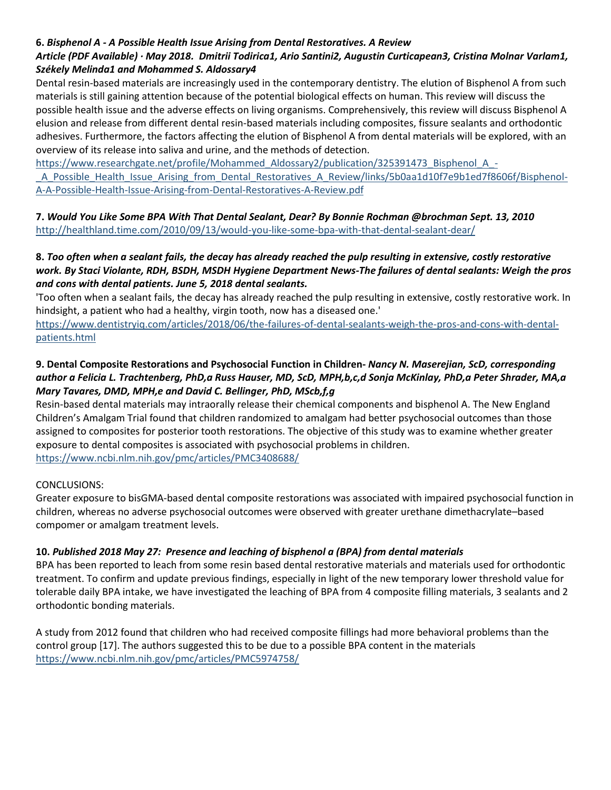#### **6.** *Bisphenol A - A Possible Health Issue Arising from Dental Restoratives. A Review*

#### *Article (PDF Available) · May 2018. Dmitrii Todirica1, Ario Santini2, Augustin Curticapean3, Cristina Molnar Varlam1, Székely Melinda1 and Mohammed S. Aldossary4*

Dental resin-based materials are increasingly used in the contemporary dentistry. The elution of Bisphenol A from such materials is still gaining attention because of the potential biological effects on human. This review will discuss the possible health issue and the adverse effects on living organisms. Comprehensively, this review will discuss Bisphenol A elusion and release from different dental resin-based materials including composites, fissure sealants and orthodontic adhesives. Furthermore, the factors affecting the elution of Bisphenol A from dental materials will be explored, with an overview of its release into saliva and urine, and the methods of detection.

[https://www.researchgate.net/profile/Mohammed\\_Aldossary2/publication/325391473\\_Bisphenol\\_A\\_-](https://www.researchgate.net/profile/Mohammed_Aldossary2/publication/325391473_Bisphenol_A_-_A_Possible_Health_Issue_Arising_from_Dental_Restoratives_A_Review/links/5b0aa1d10f7e9b1ed7f8606f/Bisphenol-A-A-Possible-Health-Issue-Arising-from-Dental-Restoratives-A-Review.pdf)

A\_Possible\_Health\_Issue\_Arising\_from\_Dental\_Restoratives\_A\_Review/links/5b0aa1d10f7e9b1ed7f8606f/Bisphenol-[A-A-Possible-Health-Issue-Arising-from-Dental-Restoratives-A-Review.pdf](https://www.researchgate.net/profile/Mohammed_Aldossary2/publication/325391473_Bisphenol_A_-_A_Possible_Health_Issue_Arising_from_Dental_Restoratives_A_Review/links/5b0aa1d10f7e9b1ed7f8606f/Bisphenol-A-A-Possible-Health-Issue-Arising-from-Dental-Restoratives-A-Review.pdf)

**7.** *Would You Like Some BPA With That Dental Sealant, Dear? By Bonnie Rochman @brochman Sept. 13, 2010* <http://healthland.time.com/2010/09/13/would-you-like-some-bpa-with-that-dental-sealant-dear/>

#### **8.** *Too often when a sealant fails, the decay has already reached the pulp resulting in extensive, costly restorative work. By Staci Violante, RDH, BSDH, MSDH Hygiene Department News-The failures of dental sealants: Weigh the pros and cons with dental patients. June 5, 2018 dental sealants.*

'Too often when a sealant fails, the decay has already reached the pulp resulting in extensive, costly restorative work. In hindsight, a patient who had a healthy, virgin tooth, now has a diseased one.'

[https://www.dentistryiq.com/articles/2018/06/the-failures-of-dental-sealants-weigh-the-pros-and-cons-with-dental](https://www.dentistryiq.com/articles/2018/06/the-failures-of-dental-sealants-weigh-the-pros-and-cons-with-dental-patients.html)[patients.html](https://www.dentistryiq.com/articles/2018/06/the-failures-of-dental-sealants-weigh-the-pros-and-cons-with-dental-patients.html)

#### **9. Dental Composite Restorations and Psychosocial Function in Children-** *Nancy N. Maserejian, ScD, corresponding author a Felicia L. Trachtenberg, PhD,a Russ Hauser, MD, ScD, MPH,b,c,d Sonja McKinlay, PhD,a Peter Shrader, MA,a Mary Tavares, DMD, MPH,e and David C. Bellinger, PhD, MScb,f,g*

Resin-based dental materials may intraorally release their chemical components and bisphenol A. The New England Children's Amalgam Trial found that children randomized to amalgam had better psychosocial outcomes than those assigned to composites for posterior tooth restorations. The objective of this study was to examine whether greater exposure to dental composites is associated with psychosocial problems in children. <https://www.ncbi.nlm.nih.gov/pmc/articles/PMC3408688/>

#### CONCLUSIONS:

Greater exposure to bisGMA-based dental composite restorations was associated with impaired psychosocial function in children, whereas no adverse psychosocial outcomes were observed with greater urethane dimethacrylate–based compomer or amalgam treatment levels.

#### **10.** *Published 2018 May 27: Presence and leaching of bisphenol a (BPA) from dental materials*

BPA has been reported to leach from some resin based dental restorative materials and materials used for orthodontic treatment. To confirm and update previous findings, especially in light of the new temporary lower threshold value for tolerable daily BPA intake, we have investigated the leaching of BPA from 4 composite filling materials, 3 sealants and 2 orthodontic bonding materials.

A study from 2012 found that children who had received composite fillings had more behavioral problems than the control group [17]. The authors suggested this to be due to a possible BPA content in the materials <https://www.ncbi.nlm.nih.gov/pmc/articles/PMC5974758/>